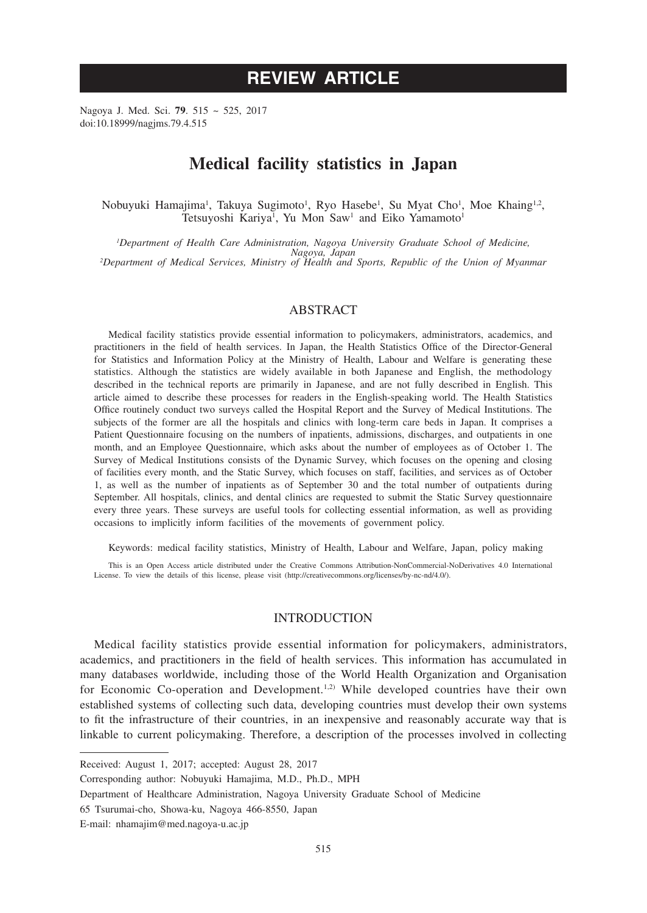# **REVIEW ARTICLE**

Nagoya J. Med. Sci. **79**. 515 ~ 525, 2017 doi:10.18999/nagjms.79.4.515

## **Medical facility statistics in Japan**

Nobuyuki Hamajima<sup>1</sup>, Takuya Sugimoto<sup>1</sup>, Ryo Hasebe<sup>1</sup>, Su Myat Cho<sup>1</sup>, Moe Khaing<sup>1,2</sup>, Tetsuyoshi Kariya<sup>1</sup>, Yu Mon Saw<sup>1</sup> and Eiko Yamamoto<sup>1</sup>

*1 Department of Health Care Administration, Nagoya University Graduate School of Medicine, Nagoya, Japan <sup>2</sup> Department of Medical Services, Ministry of Health and Sports, Republic of the Union of Myanmar*

## ABSTRACT

Medical facility statistics provide essential information to policymakers, administrators, academics, and practitioners in the field of health services. In Japan, the Health Statistics Office of the Director-General for Statistics and Information Policy at the Ministry of Health, Labour and Welfare is generating these statistics. Although the statistics are widely available in both Japanese and English, the methodology described in the technical reports are primarily in Japanese, and are not fully described in English. This article aimed to describe these processes for readers in the English-speaking world. The Health Statistics Office routinely conduct two surveys called the Hospital Report and the Survey of Medical Institutions. The subjects of the former are all the hospitals and clinics with long-term care beds in Japan. It comprises a Patient Questionnaire focusing on the numbers of inpatients, admissions, discharges, and outpatients in one month, and an Employee Questionnaire, which asks about the number of employees as of October 1. The Survey of Medical Institutions consists of the Dynamic Survey, which focuses on the opening and closing of facilities every month, and the Static Survey, which focuses on staff, facilities, and services as of October 1, as well as the number of inpatients as of September 30 and the total number of outpatients during September. All hospitals, clinics, and dental clinics are requested to submit the Static Survey questionnaire every three years. These surveys are useful tools for collecting essential information, as well as providing occasions to implicitly inform facilities of the movements of government policy.

Keywords: medical facility statistics, Ministry of Health, Labour and Welfare, Japan, policy making

This is an Open Access article distributed under the Creative Commons Attribution-NonCommercial-NoDerivatives 4.0 International License. To view the details of this license, please visit (http://creativecommons.org/licenses/by-nc-nd/4.0/).

## INTRODUCTION

Medical facility statistics provide essential information for policymakers, administrators, academics, and practitioners in the field of health services. This information has accumulated in many databases worldwide, including those of the World Health Organization and Organisation for Economic Co-operation and Development.<sup>1,2)</sup> While developed countries have their own established systems of collecting such data, developing countries must develop their own systems to fit the infrastructure of their countries, in an inexpensive and reasonably accurate way that is linkable to current policymaking. Therefore, a description of the processes involved in collecting

Received: August 1, 2017; accepted: August 28, 2017

Corresponding author: Nobuyuki Hamajima, M.D., Ph.D., MPH

Department of Healthcare Administration, Nagoya University Graduate School of Medicine

<sup>65</sup> Tsurumai-cho, Showa-ku, Nagoya 466-8550, Japan

E-mail: nhamajim@med.nagoya-u.ac.jp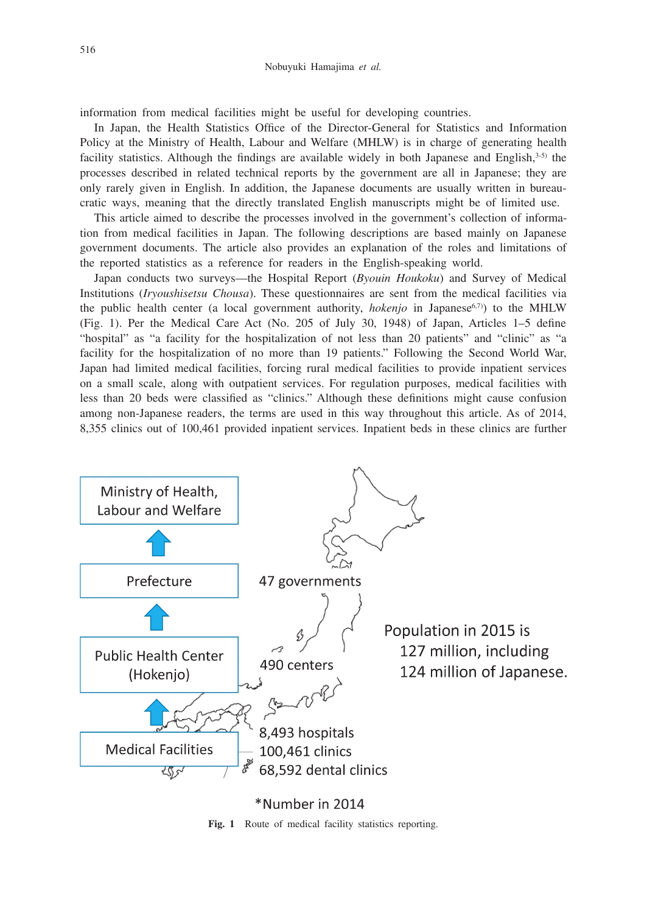information from medical facilities might be useful for developing countries.

In Japan, the Health Statistics Office of the Director-General for Statistics and Information Policy at the Ministry of Health, Labour and Welfare (MHLW) is in charge of generating health facility statistics. Although the findings are available widely in both Japanese and English, $3-5$ ) the processes described in related technical reports by the government are all in Japanese; they are only rarely given in English. In addition, the Japanese documents are usually written in bureaucratic ways, meaning that the directly translated English manuscripts might be of limited use.

This article aimed to describe the processes involved in the government's collection of information from medical facilities in Japan. The following descriptions are based mainly on Japanese government documents. The article also provides an explanation of the roles and limitations of the reported statistics as a reference for readers in the English-speaking world.

Japan conducts two surveys—the Hospital Report (*Byouin Houkoku*) and Survey of Medical Institutions (*Iryoushisetsu Chousa*). These questionnaires are sent from the medical facilities via the public health center (a local government authority, *hokenjo* in Japanese<sup>6,7)</sup> to the MHLW (Fig. 1). Per the Medical Care Act (No. 205 of July 30, 1948) of Japan, Articles 1–5 define "hospital" as "a facility for the hospitalization of not less than 20 patients" and "clinic" as "a facility for the hospitalization of no more than 19 patients." Following the Second World War, Japan had limited medical facilities, forcing rural medical facilities to provide inpatient services on a small scale, along with outpatient services. For regulation purposes, medical facilities with less than 20 beds were classified as "clinics." Although these definitions might cause confusion among non-Japanese readers, the terms are used in this way throughout this article. As of 2014, 8,355 clinics out of 100,461 provided inpatient services. Inpatient beds in these clinics are further



\*Number in 2014

Fig. 1 Route of medical facility statistics reporting.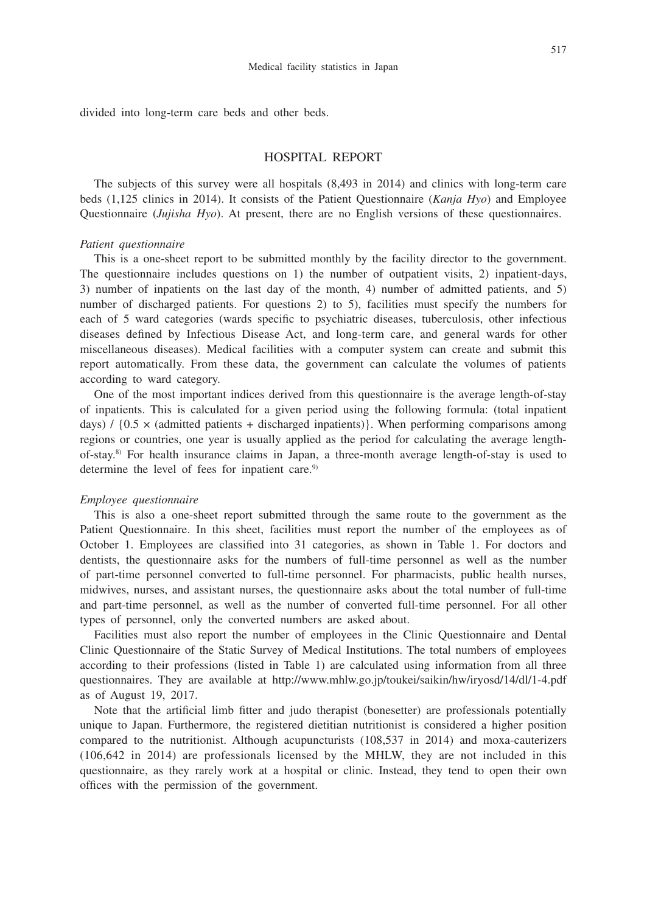divided into long-term care beds and other beds.

#### HOSPITAL REPORT

The subjects of this survey were all hospitals (8,493 in 2014) and clinics with long-term care beds (1,125 clinics in 2014). It consists of the Patient Questionnaire (*Kanja Hyo*) and Employee Questionnaire (*Jujisha Hyo*). At present, there are no English versions of these questionnaires.

#### *Patient questionnaire*

This is a one-sheet report to be submitted monthly by the facility director to the government. The questionnaire includes questions on 1) the number of outpatient visits, 2) inpatient-days, 3) number of inpatients on the last day of the month, 4) number of admitted patients, and 5) number of discharged patients. For questions 2) to 5), facilities must specify the numbers for each of 5 ward categories (wards specific to psychiatric diseases, tuberculosis, other infectious diseases defined by Infectious Disease Act, and long-term care, and general wards for other miscellaneous diseases). Medical facilities with a computer system can create and submit this report automatically. From these data, the government can calculate the volumes of patients according to ward category.

One of the most important indices derived from this questionnaire is the average length-of-stay of inpatients. This is calculated for a given period using the following formula: (total inpatient days) /  $\{0.5 \times$  (admitted patients + discharged inpatients) }. When performing comparisons among regions or countries, one year is usually applied as the period for calculating the average lengthof-stay.8) For health insurance claims in Japan, a three-month average length-of-stay is used to determine the level of fees for inpatient care.<sup>9)</sup>

#### *Employee questionnaire*

This is also a one-sheet report submitted through the same route to the government as the Patient Questionnaire. In this sheet, facilities must report the number of the employees as of October 1. Employees are classified into 31 categories, as shown in Table 1. For doctors and dentists, the questionnaire asks for the numbers of full-time personnel as well as the number of part-time personnel converted to full-time personnel. For pharmacists, public health nurses, midwives, nurses, and assistant nurses, the questionnaire asks about the total number of full-time and part-time personnel, as well as the number of converted full-time personnel. For all other types of personnel, only the converted numbers are asked about.

Facilities must also report the number of employees in the Clinic Questionnaire and Dental Clinic Questionnaire of the Static Survey of Medical Institutions. The total numbers of employees according to their professions (listed in Table 1) are calculated using information from all three questionnaires. They are available at http://www.mhlw.go.jp/toukei/saikin/hw/iryosd/14/dl/1-4.pdf as of August 19, 2017.

Note that the artificial limb fitter and judo therapist (bonesetter) are professionals potentially unique to Japan. Furthermore, the registered dietitian nutritionist is considered a higher position compared to the nutritionist. Although acupuncturists (108,537 in 2014) and moxa-cauterizers (106,642 in 2014) are professionals licensed by the MHLW, they are not included in this questionnaire, as they rarely work at a hospital or clinic. Instead, they tend to open their own offices with the permission of the government.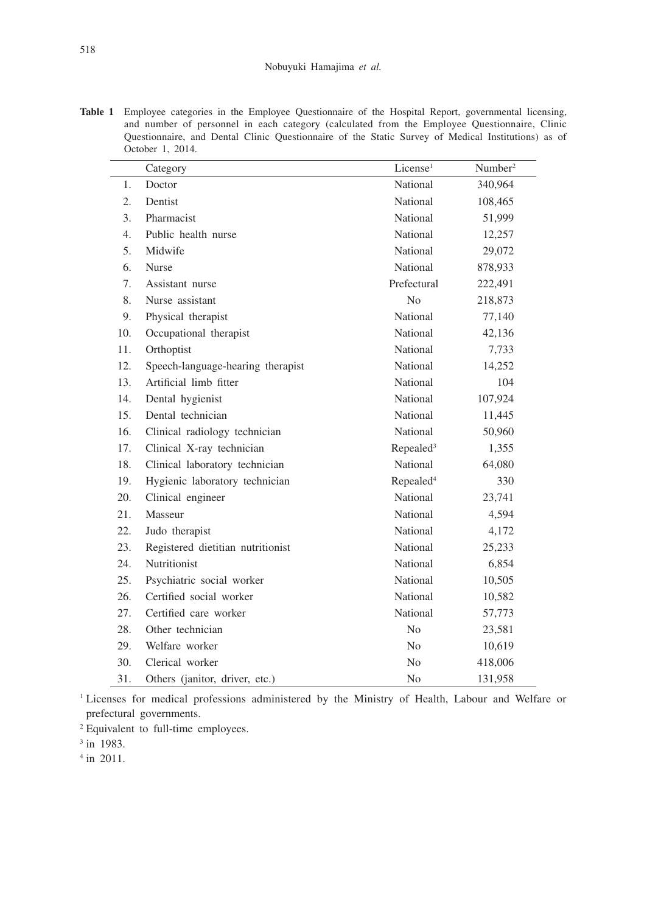Table 1 Employee categories in the Employee Questionnaire of the Hospital Report, governmental licensing, and number of personnel in each category (calculated from the Employee Questionnaire, Clinic Questionnaire, and Dental Clinic Questionnaire of the Static Survey of Medical Institutions) as of October 1, 2014.

|                  | Category                          | License <sup>1</sup>  | Number <sup>2</sup> |
|------------------|-----------------------------------|-----------------------|---------------------|
| 1.               | Doctor                            | National              | 340,964             |
| 2.               | Dentist                           | National              | 108,465             |
| 3.               | Pharmacist                        | National              | 51,999              |
| $\overline{4}$ . | Public health nurse               | National              | 12,257              |
| 5.               | Midwife                           | National              | 29,072              |
| 6.               | <b>Nurse</b>                      | National              | 878,933             |
| 7.               | Assistant nurse                   | Prefectural           | 222,491             |
| 8.               | Nurse assistant                   | N <sub>o</sub>        | 218,873             |
| 9.               | Physical therapist                | National              | 77,140              |
| 10.              | Occupational therapist            | National              | 42,136              |
| 11.              | Orthoptist                        | National              | 7,733               |
| 12.              | Speech-language-hearing therapist | National              | 14,252              |
| 13.              | Artificial limb fitter            | National              | 104                 |
| 14.              | Dental hygienist                  | National              | 107,924             |
| 15.              | Dental technician                 | National              | 11,445              |
| 16.              | Clinical radiology technician     | National              | 50,960              |
| 17.              | Clinical X-ray technician         | Repealed <sup>3</sup> | 1,355               |
| 18.              | Clinical laboratory technician    | National              | 64,080              |
| 19.              | Hygienic laboratory technician    | Repealed <sup>4</sup> | 330                 |
| 20.              | Clinical engineer                 | National              | 23,741              |
| 21.              | Masseur                           | National              | 4,594               |
| 22.              | Judo therapist                    | National              | 4,172               |
| 23.              | Registered dietitian nutritionist | National              | 25,233              |
| 24.              | Nutritionist                      | National              | 6,854               |
| 25.              | Psychiatric social worker         | National              | 10,505              |
| 26.              | Certified social worker           | National              | 10,582              |
| 27.              | Certified care worker             | National              | 57,773              |
| 28.              | Other technician                  | N <sub>o</sub>        | 23,581              |
| 29.              | Welfare worker                    | N <sub>o</sub>        | 10,619              |
| 30.              | Clerical worker                   | N <sub>0</sub>        | 418,006             |
| 31.              | Others (janitor, driver, etc.)    | N <sub>o</sub>        | 131,958             |

<sup>1</sup> Licenses for medical professions administered by the Ministry of Health, Labour and Welfare or prefectural governments.

2 Equivalent to full-time employees.

<sup>3</sup> in 1983.

4 in 2011.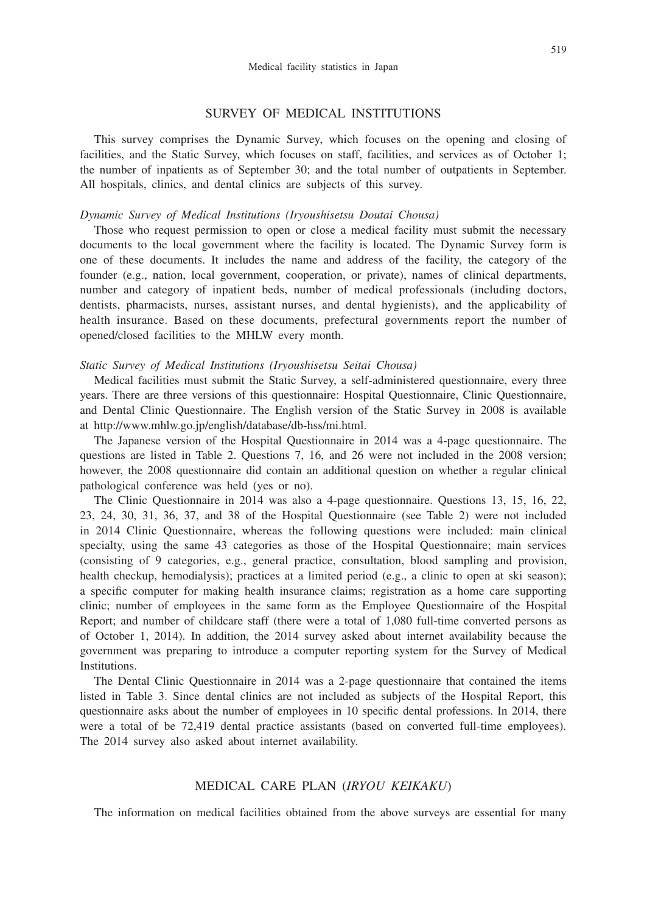#### SURVEY OF MEDICAL INSTITUTIONS

This survey comprises the Dynamic Survey, which focuses on the opening and closing of facilities, and the Static Survey, which focuses on staff, facilities, and services as of October 1; the number of inpatients as of September 30; and the total number of outpatients in September. All hospitals, clinics, and dental clinics are subjects of this survey.

#### *Dynamic Survey of Medical Institutions (Iryoushisetsu Doutai Chousa)*

Those who request permission to open or close a medical facility must submit the necessary documents to the local government where the facility is located. The Dynamic Survey form is one of these documents. It includes the name and address of the facility, the category of the founder (e.g., nation, local government, cooperation, or private), names of clinical departments, number and category of inpatient beds, number of medical professionals (including doctors, dentists, pharmacists, nurses, assistant nurses, and dental hygienists), and the applicability of health insurance. Based on these documents, prefectural governments report the number of opened/closed facilities to the MHLW every month.

#### *Static Survey of Medical Institutions (Iryoushisetsu Seitai Chousa)*

Medical facilities must submit the Static Survey, a self-administered questionnaire, every three years. There are three versions of this questionnaire: Hospital Questionnaire, Clinic Questionnaire, and Dental Clinic Questionnaire. The English version of the Static Survey in 2008 is available at http://www.mhlw.go.jp/english/database/db-hss/mi.html.

The Japanese version of the Hospital Questionnaire in 2014 was a 4-page questionnaire. The questions are listed in Table 2. Questions 7, 16, and 26 were not included in the 2008 version; however, the 2008 questionnaire did contain an additional question on whether a regular clinical pathological conference was held (yes or no).

The Clinic Questionnaire in 2014 was also a 4-page questionnaire. Questions 13, 15, 16, 22, 23, 24, 30, 31, 36, 37, and 38 of the Hospital Questionnaire (see Table 2) were not included in 2014 Clinic Questionnaire, whereas the following questions were included: main clinical specialty, using the same 43 categories as those of the Hospital Questionnaire; main services (consisting of 9 categories, e.g., general practice, consultation, blood sampling and provision, health checkup, hemodialysis); practices at a limited period (e.g., a clinic to open at ski season); a specific computer for making health insurance claims; registration as a home care supporting clinic; number of employees in the same form as the Employee Questionnaire of the Hospital Report; and number of childcare staff (there were a total of 1,080 full-time converted persons as of October 1, 2014). In addition, the 2014 survey asked about internet availability because the government was preparing to introduce a computer reporting system for the Survey of Medical Institutions.

The Dental Clinic Questionnaire in 2014 was a 2-page questionnaire that contained the items listed in Table 3. Since dental clinics are not included as subjects of the Hospital Report, this questionnaire asks about the number of employees in 10 specific dental professions. In 2014, there were a total of be 72,419 dental practice assistants (based on converted full-time employees). The 2014 survey also asked about internet availability.

#### MEDICAL CARE PLAN (*IRYOU KEIKAKU*)

The information on medical facilities obtained from the above surveys are essential for many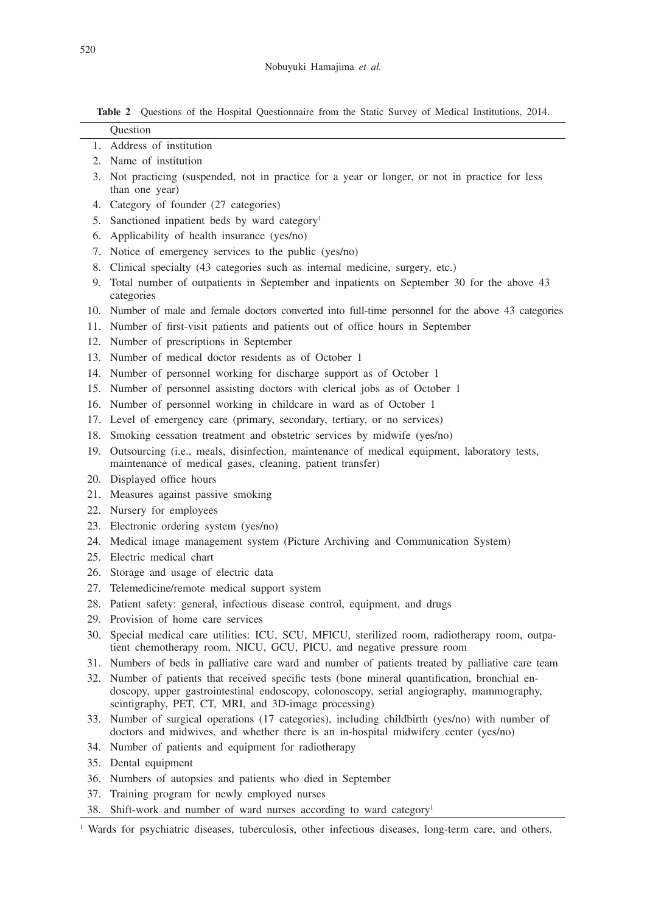**Table 2** Questions of the Hospital Questionnaire from the Static Survey of Medical Institutions, 2014.

|     | Question                                                                                                                                                                                                                                            |
|-----|-----------------------------------------------------------------------------------------------------------------------------------------------------------------------------------------------------------------------------------------------------|
|     | 1. Address of institution                                                                                                                                                                                                                           |
|     | 2. Name of institution                                                                                                                                                                                                                              |
|     | 3. Not practicing (suspended, not in practice for a year or longer, or not in practice for less<br>than one year)                                                                                                                                   |
|     | 4. Category of founder (27 categories)                                                                                                                                                                                                              |
|     | 5. Sanctioned inpatient beds by ward category <sup>1</sup>                                                                                                                                                                                          |
|     | 6. Applicability of health insurance (yes/no)                                                                                                                                                                                                       |
|     | 7. Notice of emergency services to the public (yes/no)                                                                                                                                                                                              |
|     | 8. Clinical specialty (43 categories such as internal medicine, surgery, etc.)                                                                                                                                                                      |
|     | 9. Total number of outpatients in September and inpatients on September 30 for the above 43<br>categories                                                                                                                                           |
|     | 10. Number of male and female doctors converted into full-time personnel for the above 43 categories                                                                                                                                                |
|     | 11. Number of first-visit patients and patients out of office hours in September                                                                                                                                                                    |
|     | 12. Number of prescriptions in September                                                                                                                                                                                                            |
|     | 13. Number of medical doctor residents as of October 1                                                                                                                                                                                              |
|     | 14. Number of personnel working for discharge support as of October 1                                                                                                                                                                               |
|     | 15. Number of personnel assisting doctors with clerical jobs as of October 1                                                                                                                                                                        |
|     | 16. Number of personnel working in childcare in ward as of October 1                                                                                                                                                                                |
|     | 17. Level of emergency care (primary, secondary, tertiary, or no services)                                                                                                                                                                          |
|     | 18. Smoking cessation treatment and obstetric services by midwife (yes/no)                                                                                                                                                                          |
|     | 19. Outsourcing (i.e., meals, disinfection, maintenance of medical equipment, laboratory tests,<br>maintenance of medical gases, cleaning, patient transfer)                                                                                        |
|     | 20. Displayed office hours                                                                                                                                                                                                                          |
|     | 21. Measures against passive smoking                                                                                                                                                                                                                |
|     | 22. Nursery for employees                                                                                                                                                                                                                           |
|     | 23. Electronic ordering system (yes/no)                                                                                                                                                                                                             |
|     | 24. Medical image management system (Picture Archiving and Communication System)                                                                                                                                                                    |
|     | 25. Electric medical chart                                                                                                                                                                                                                          |
|     | 26. Storage and usage of electric data                                                                                                                                                                                                              |
|     | 27. Telemedicine/remote medical support system                                                                                                                                                                                                      |
|     | 28. Patient safety: general, infectious disease control, equipment, and drugs                                                                                                                                                                       |
|     | 29. Provision of home care services                                                                                                                                                                                                                 |
|     | 30. Special medical care utilities: ICU, SCU, MFICU, sterilized room, radiotherapy room, outpa-<br>tient chemotherapy room, NICU, GCU, PICU, and negative pressure room                                                                             |
|     | 31. Numbers of beds in palliative care ward and number of patients treated by palliative care team                                                                                                                                                  |
|     | 32. Number of patients that received specific tests (bone mineral quantification, bronchial en-<br>doscopy, upper gastrointestinal endoscopy, colonoscopy, serial angiography, mammography,<br>scintigraphy, PET, CT, MRI, and 3D-image processing) |
|     | 33. Number of surgical operations (17 categories), including childbirth (yes/no) with number of<br>doctors and midwives, and whether there is an in-hospital midwifery center (yes/no)                                                              |
|     | 34. Number of patients and equipment for radiotherapy                                                                                                                                                                                               |
| 35. | Dental equipment                                                                                                                                                                                                                                    |
| 36. | Numbers of autopsies and patients who died in September                                                                                                                                                                                             |
| 37. | Training program for newly employed nurses                                                                                                                                                                                                          |
|     | Shift-work and number of ward nurses according to ward category <sup>1</sup>                                                                                                                                                                        |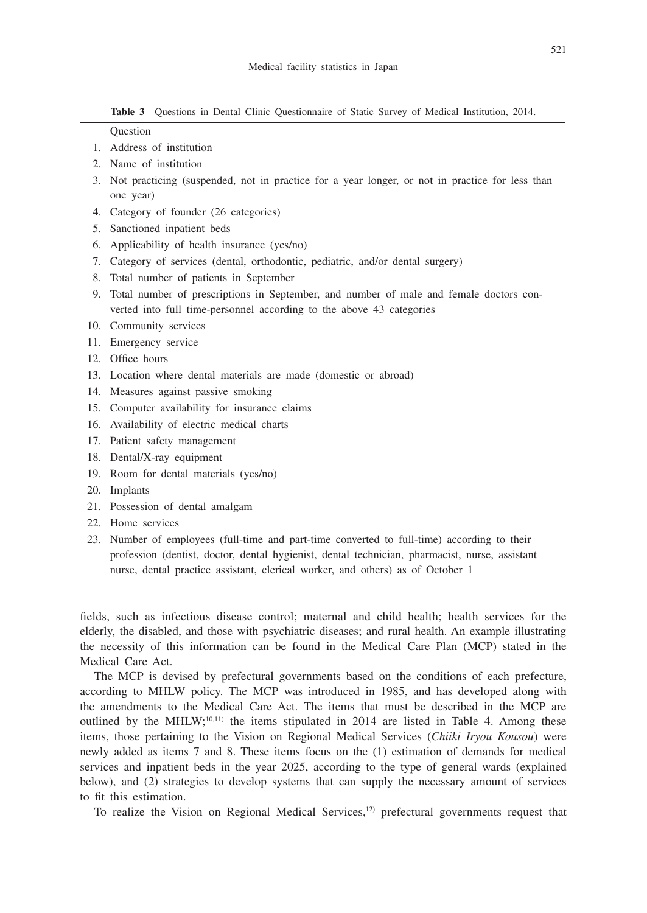**Table 3** Questions in Dental Clinic Questionnaire of Static Survey of Medical Institution, 2014.

|         | Ouestion                                                                                                                                                                                                                                                                        |  |  |
|---------|---------------------------------------------------------------------------------------------------------------------------------------------------------------------------------------------------------------------------------------------------------------------------------|--|--|
|         | 1. Address of institution                                                                                                                                                                                                                                                       |  |  |
| $2_{-}$ | Name of institution                                                                                                                                                                                                                                                             |  |  |
| 3.      | Not practicing (suspended, not in practice for a year longer, or not in practice for less than<br>one year)                                                                                                                                                                     |  |  |
| 4.      | Category of founder (26 categories)                                                                                                                                                                                                                                             |  |  |
| 5.      | Sanctioned inpatient beds                                                                                                                                                                                                                                                       |  |  |
| 6.      | Applicability of health insurance (yes/no)                                                                                                                                                                                                                                      |  |  |
|         | 7. Category of services (dental, orthodontic, pediatric, and/or dental surgery)                                                                                                                                                                                                 |  |  |
| 8.      | Total number of patients in September                                                                                                                                                                                                                                           |  |  |
|         | 9. Total number of prescriptions in September, and number of male and female doctors con-<br>verted into full time-personnel according to the above 43 categories                                                                                                               |  |  |
|         | 10. Community services                                                                                                                                                                                                                                                          |  |  |
|         | 11. Emergency service                                                                                                                                                                                                                                                           |  |  |
|         | 12. Office hours                                                                                                                                                                                                                                                                |  |  |
|         | 13. Location where dental materials are made (domestic or abroad)                                                                                                                                                                                                               |  |  |
|         | 14. Measures against passive smoking                                                                                                                                                                                                                                            |  |  |
| 15.     | Computer availability for insurance claims                                                                                                                                                                                                                                      |  |  |
|         | 16. Availability of electric medical charts                                                                                                                                                                                                                                     |  |  |
|         | 17. Patient safety management                                                                                                                                                                                                                                                   |  |  |
|         | 18. Dental/X-ray equipment                                                                                                                                                                                                                                                      |  |  |
|         | 19. Room for dental materials (yes/no)                                                                                                                                                                                                                                          |  |  |
| 20.     | Implants                                                                                                                                                                                                                                                                        |  |  |
|         | 21. Possession of dental amalgam                                                                                                                                                                                                                                                |  |  |
|         | 22. Home services                                                                                                                                                                                                                                                               |  |  |
|         | 23. Number of employees (full-time and part-time converted to full-time) according to their<br>profession (dentist, doctor, dental hygienist, dental technician, pharmacist, nurse, assistant<br>nurse, dental practice assistant, clerical worker, and others) as of October 1 |  |  |

fields, such as infectious disease control; maternal and child health; health services for the elderly, the disabled, and those with psychiatric diseases; and rural health. An example illustrating the necessity of this information can be found in the Medical Care Plan (MCP) stated in the Medical Care Act.

The MCP is devised by prefectural governments based on the conditions of each prefecture, according to MHLW policy. The MCP was introduced in 1985, and has developed along with the amendments to the Medical Care Act. The items that must be described in the MCP are outlined by the MHLW;<sup>10,11)</sup> the items stipulated in 2014 are listed in Table 4. Among these items, those pertaining to the Vision on Regional Medical Services (*Chiiki Iryou Kousou*) were newly added as items 7 and 8. These items focus on the (1) estimation of demands for medical services and inpatient beds in the year 2025, according to the type of general wards (explained below), and (2) strategies to develop systems that can supply the necessary amount of services to fit this estimation.

To realize the Vision on Regional Medical Services,<sup>12</sup> prefectural governments request that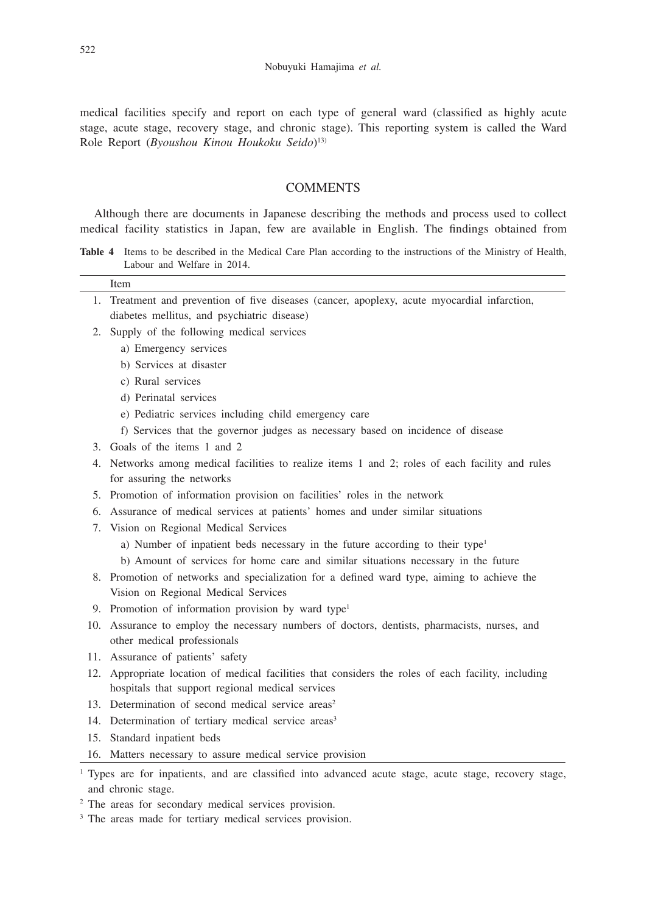medical facilities specify and report on each type of general ward (classified as highly acute stage, acute stage, recovery stage, and chronic stage). This reporting system is called the Ward Role Report (*Byoushou Kinou Houkoku Seido*) 13)

## **COMMENTS**

Although there are documents in Japanese describing the methods and process used to collect medical facility statistics in Japan, few are available in English. The findings obtained from

**Table 4** Items to be described in the Medical Care Plan according to the instructions of the Ministry of Health, Labour and Welfare in 2014.

|    | Item                                                                                                              |  |  |
|----|-------------------------------------------------------------------------------------------------------------------|--|--|
| 1. | Treatment and prevention of five diseases (cancer, apoplexy, acute myocardial infarction,                         |  |  |
|    | diabetes mellitus, and psychiatric disease)                                                                       |  |  |
| 2. | Supply of the following medical services                                                                          |  |  |
|    | a) Emergency services                                                                                             |  |  |
|    | b) Services at disaster                                                                                           |  |  |
|    | c) Rural services                                                                                                 |  |  |
|    | d) Perinatal services                                                                                             |  |  |
|    | e) Pediatric services including child emergency care                                                              |  |  |
|    | f) Services that the governor judges as necessary based on incidence of disease                                   |  |  |
|    | 3. Goals of the items 1 and 2                                                                                     |  |  |
|    | 4. Networks among medical facilities to realize items 1 and 2; roles of each facility and rules                   |  |  |
|    | for assuring the networks                                                                                         |  |  |
|    | 5. Promotion of information provision on facilities' roles in the network                                         |  |  |
|    | 6. Assurance of medical services at patients' homes and under similar situations                                  |  |  |
|    | 7. Vision on Regional Medical Services                                                                            |  |  |
|    | a) Number of inpatient beds necessary in the future according to their type <sup>1</sup>                          |  |  |
|    | b) Amount of services for home care and similar situations necessary in the future                                |  |  |
|    | 8. Promotion of networks and specialization for a defined ward type, aiming to achieve the                        |  |  |
|    | Vision on Regional Medical Services                                                                               |  |  |
|    | 9. Promotion of information provision by ward type <sup>1</sup>                                                   |  |  |
|    | 10. Assurance to employ the necessary numbers of doctors, dentists, pharmacists, nurses, and                      |  |  |
|    | other medical professionals                                                                                       |  |  |
|    | 11. Assurance of patients' safety                                                                                 |  |  |
|    | 12. Appropriate location of medical facilities that considers the roles of each facility, including               |  |  |
|    | hospitals that support regional medical services                                                                  |  |  |
|    | 13. Determination of second medical service areas <sup>2</sup>                                                    |  |  |
|    | 14. Determination of tertiary medical service areas <sup>3</sup>                                                  |  |  |
|    | 15. Standard inpatient beds                                                                                       |  |  |
|    | 16. Matters necessary to assure medical service provision                                                         |  |  |
|    | <sup>1</sup> Types are for inpatients, and are classified into advanced acute stage, acute stage, recovery stage, |  |  |

and chronic stage. 2 The areas for secondary medical services provision.

<sup>3</sup> The areas made for tertiary medical services provision.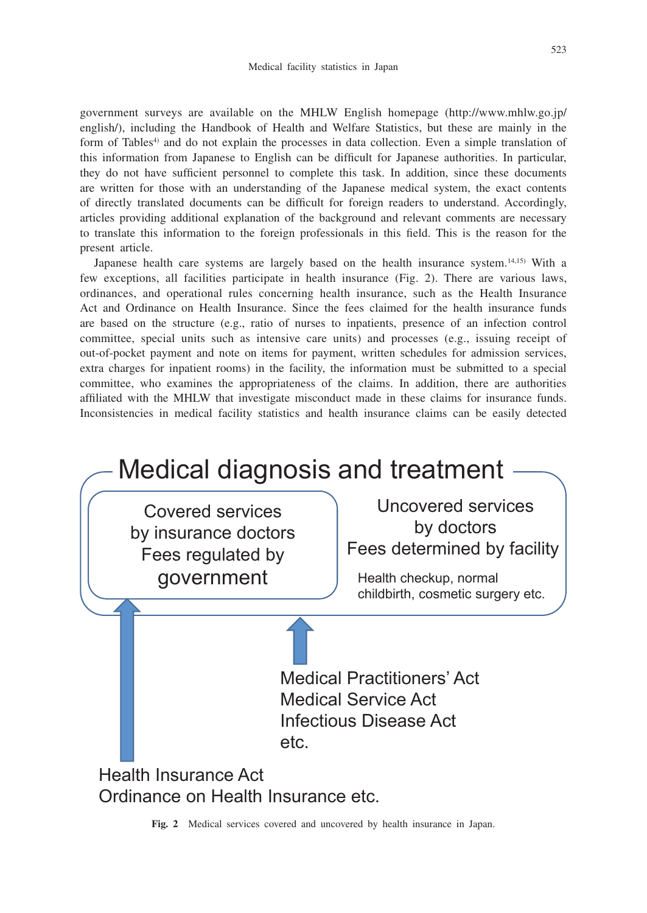government surveys are available on the MHLW English homepage (http://www.mhlw.go.jp/ english/), including the Handbook of Health and Welfare Statistics, but these are mainly in the form of Tables<sup>4)</sup> and do not explain the processes in data collection. Even a simple translation of this information from Japanese to English can be difficult for Japanese authorities. In particular, they do not have sufficient personnel to complete this task. In addition, since these documents are written for those with an understanding of the Japanese medical system, the exact contents of directly translated documents can be difficult for foreign readers to understand. Accordingly, articles providing additional explanation of the background and relevant comments are necessary to translate this information to the foreign professionals in this field. This is the reason for the present article.

Japanese health care systems are largely based on the health insurance system.14,15) With a few exceptions, all facilities participate in health insurance (Fig. 2). There are various laws, ordinances, and operational rules concerning health insurance, such as the Health Insurance Act and Ordinance on Health Insurance. Since the fees claimed for the health insurance funds are based on the structure (e.g., ratio of nurses to inpatients, presence of an infection control committee, special units such as intensive care units) and processes (e.g., issuing receipt of out-of-pocket payment and note on items for payment, written schedules for admission services, extra charges for inpatient rooms) in the facility, the information must be submitted to a special committee, who examines the appropriateness of the claims. In addition, there are authorities affiliated with the MHLW that investigate misconduct made in these claims for insurance funds. Inconsistencies in medical facility statistics and health insurance claims can be easily detected



**Fig. 2** Medical services covered and uncovered by health insurance in Japan.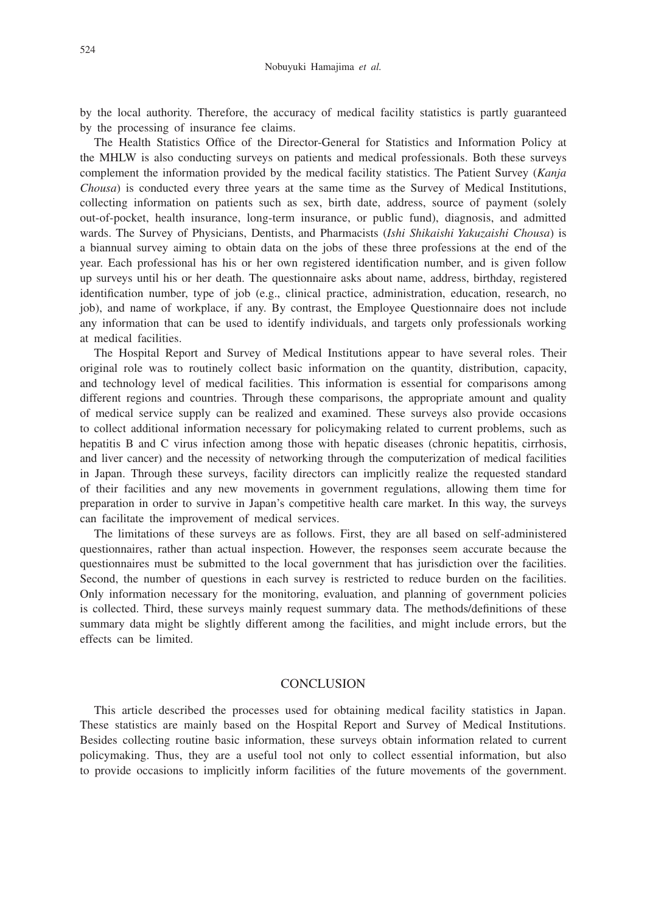by the local authority. Therefore, the accuracy of medical facility statistics is partly guaranteed by the processing of insurance fee claims.

The Health Statistics Office of the Director-General for Statistics and Information Policy at the MHLW is also conducting surveys on patients and medical professionals. Both these surveys complement the information provided by the medical facility statistics. The Patient Survey (*Kanja Chousa*) is conducted every three years at the same time as the Survey of Medical Institutions, collecting information on patients such as sex, birth date, address, source of payment (solely out-of-pocket, health insurance, long-term insurance, or public fund), diagnosis, and admitted wards. The Survey of Physicians, Dentists, and Pharmacists (*Ishi Shikaishi Yakuzaishi Chousa*) is a biannual survey aiming to obtain data on the jobs of these three professions at the end of the year. Each professional has his or her own registered identification number, and is given follow up surveys until his or her death. The questionnaire asks about name, address, birthday, registered identification number, type of job (e.g., clinical practice, administration, education, research, no job), and name of workplace, if any. By contrast, the Employee Questionnaire does not include any information that can be used to identify individuals, and targets only professionals working at medical facilities.

The Hospital Report and Survey of Medical Institutions appear to have several roles. Their original role was to routinely collect basic information on the quantity, distribution, capacity, and technology level of medical facilities. This information is essential for comparisons among different regions and countries. Through these comparisons, the appropriate amount and quality of medical service supply can be realized and examined. These surveys also provide occasions to collect additional information necessary for policymaking related to current problems, such as hepatitis B and C virus infection among those with hepatic diseases (chronic hepatitis, cirrhosis, and liver cancer) and the necessity of networking through the computerization of medical facilities in Japan. Through these surveys, facility directors can implicitly realize the requested standard of their facilities and any new movements in government regulations, allowing them time for preparation in order to survive in Japan's competitive health care market. In this way, the surveys can facilitate the improvement of medical services.

The limitations of these surveys are as follows. First, they are all based on self-administered questionnaires, rather than actual inspection. However, the responses seem accurate because the questionnaires must be submitted to the local government that has jurisdiction over the facilities. Second, the number of questions in each survey is restricted to reduce burden on the facilities. Only information necessary for the monitoring, evaluation, and planning of government policies is collected. Third, these surveys mainly request summary data. The methods/definitions of these summary data might be slightly different among the facilities, and might include errors, but the effects can be limited.

#### **CONCLUSION**

This article described the processes used for obtaining medical facility statistics in Japan. These statistics are mainly based on the Hospital Report and Survey of Medical Institutions. Besides collecting routine basic information, these surveys obtain information related to current policymaking. Thus, they are a useful tool not only to collect essential information, but also to provide occasions to implicitly inform facilities of the future movements of the government.